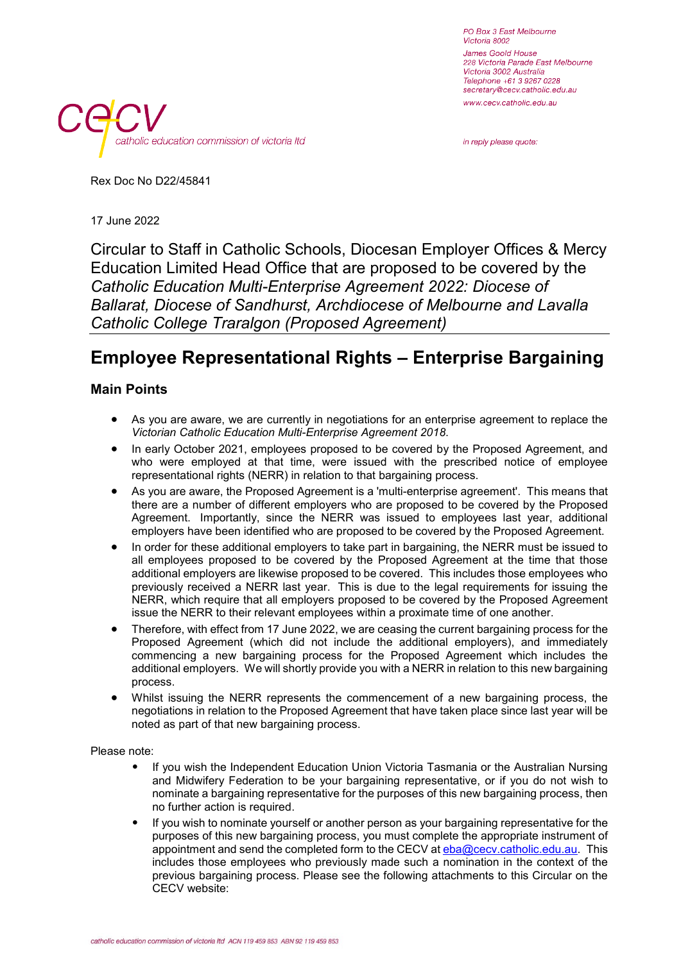PO Box 3 East Melbourne Victoria 8002 James Goold House 228 Victoria Parade East Melbourne Victoria 3002 Australia Telephone +61 3 9267 0228 secretary@cecv.catholic.edu.au www.cecv.catholic.edu.au

in reply please quote:

catholic education commission of victoria Itd

Rex Doc No D22/45841

17 June 2022

Circular to Staff in Catholic Schools, Diocesan Employer Offices & Mercy Education Limited Head Office that are proposed to be covered by the *Catholic Education Multi-Enterprise Agreement 2022: Diocese of Ballarat, Diocese of Sandhurst, Archdiocese of Melbourne and Lavalla Catholic College Traralgon (Proposed Agreement)*

# **Employee Representational Rights – Enterprise Bargaining**

# **Main Points**

- As you are aware, we are currently in negotiations for an enterprise agreement to replace the *Victorian Catholic Education Multi-Enterprise Agreement 2018*.
- In early October 2021, employees proposed to be covered by the Proposed Agreement, and who were employed at that time, were issued with the prescribed notice of employee representational rights (NERR) in relation to that bargaining process.
- As you are aware, the Proposed Agreement is a 'multi-enterprise agreement'. This means that there are a number of different employers who are proposed to be covered by the Proposed Agreement. Importantly, since the NERR was issued to employees last year, additional employers have been identified who are proposed to be covered by the Proposed Agreement.
- In order for these additional employers to take part in bargaining, the NERR must be issued to all employees proposed to be covered by the Proposed Agreement at the time that those additional employers are likewise proposed to be covered. This includes those employees who previously received a NERR last year. This is due to the legal requirements for issuing the NERR, which require that all employers proposed to be covered by the Proposed Agreement issue the NERR to their relevant employees within a proximate time of one another.
- Therefore, with effect from 17 June 2022, we are ceasing the current bargaining process for the Proposed Agreement (which did not include the additional employers), and immediately commencing a new bargaining process for the Proposed Agreement which includes the additional employers. We will shortly provide you with a NERR in relation to this new bargaining process.
- Whilst issuing the NERR represents the commencement of a new bargaining process, the negotiations in relation to the Proposed Agreement that have taken place since last year will be noted as part of that new bargaining process.

Please note:

- If you wish the Independent Education Union Victoria Tasmania or the Australian Nursing and Midwifery Federation to be your bargaining representative, or if you do not wish to nominate a bargaining representative for the purposes of this new bargaining process, then no further action is required.
- If you wish to nominate yourself or another person as your bargaining representative for the purposes of this new bargaining process, you must complete the appropriate instrument of appointment and send the completed form to the CECV a[t eba@cecv.catholic.edu.au.](mailto:eba@cecv.catholic.edu.au) This includes those employees who previously made such a nomination in the context of the previous bargaining process. Please see the following attachments to this Circular on the CECV website: